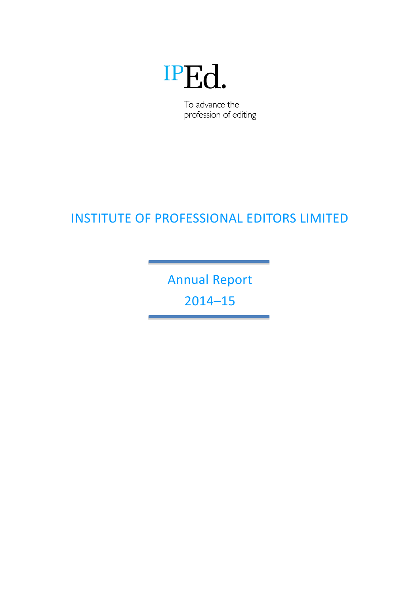# IPEd.

To advance the profession of editing

## INSTITUTE OF PROFESSIONAL EDITORS LIMITED

Annual Report 2014–15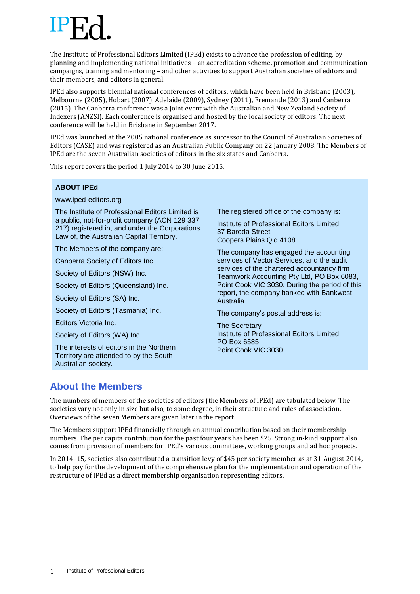The Institute of Professional Editors Limited (IPEd) exists to advance the profession of editing, by planning and implementing national initiatives – an accreditation scheme, promotion and communication campaigns, training and mentoring – and other activities to support Australian societies of editors and their members, and editors in general.

IPEd also supports biennial national conferences of editors, which have been held in Brisbane (2003), Melbourne (2005), Hobart (2007), Adelaide (2009), Sydney (2011), Fremantle (2013) and Canberra (2015). The Canberra conference was a joint event with the Australian and New Zealand Society of Indexers (ANZSI). Each conference is organised and hosted by the local society of editors. The next conference will be held in Brisbane in September 2017.

IPEd was launched at the 2005 national conference as successor to the Council of Australian Societies of Editors (CASE) and was registered as an Australian Public Company on 22 January 2008. The Members of IPEd are the seven Australian societies of editors in the six states and Canberra.

This report covers the period 1 July 2014 to 30 June 2015.

#### **ABOUT IPEd**

www.iped-editors.org

The Institute of Professional Editors Limited is a public, not-for-profit company (ACN 129 337 217) registered in, and under the Corporations Law of, the Australian Capital Territory.

The Members of the company are:

Canberra Society of Editors Inc.

Society of Editors (NSW) Inc.

Society of Editors (Queensland) Inc.

Society of Editors (SA) Inc.

Society of Editors (Tasmania) Inc.

Editors Victoria Inc.

Society of Editors (WA) Inc.

The interests of editors in the Northern Territory are attended to by the South Australian society.

The registered office of the company is:

Institute of Professional Editors Limited 37 Baroda Street Coopers Plains Qld 4108

The company has engaged the accounting services of Vector Services, and the audit services of the chartered accountancy firm Teamwork Accounting Pty Ltd, PO Box 6083, Point Cook VIC 3030. During the period of this report, the company banked with Bankwest Australia.

The company's postal address is:

The Secretary Institute of Professional Editors Limited PO Box 6585 Point Cook VIC 3030

## **About the Members**

The numbers of members of the societies of editors (the Members of IPEd) are tabulated below. The societies vary not only in size but also, to some degree, in their structure and rules of association. Overviews of the seven Members are given later in the report.

The Members support IPEd financially through an annual contribution based on their membership numbers. The per capita contribution for the past four years has been \$25. Strong in-kind support also comes from provision of members for IPEd's various committees, working groups and ad hoc projects.

In 2014–15, societies also contributed a transition levy of \$45 per society member as at 31 August 2014, to help pay for the development of the comprehensive plan for the implementation and operation of the restructure of IPEd as a direct membership organisation representing editors.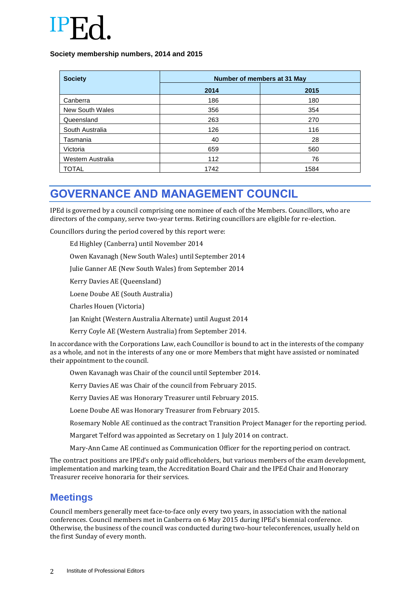

#### **Society membership numbers, 2014 and 2015**

| <b>Society</b>    | Number of members at 31 May |      |
|-------------------|-----------------------------|------|
|                   | 2014                        | 2015 |
| Canberra          | 186                         | 180  |
| New South Wales   | 356                         | 354  |
| Queensland        | 263                         | 270  |
| South Australia   | 126                         | 116  |
| Tasmania          | 40                          | 28   |
| Victoria          | 659                         | 560  |
| Western Australia | 112                         | 76   |
| TOTAL             | 1742                        | 1584 |

## **GOVERNANCE AND MANAGEMENT COUNCIL**

IPEd is governed by a council comprising one nominee of each of the Members. Councillors, who are directors of the company, serve two-year terms. Retiring councillors are eligible for re-election.

Councillors during the period covered by this report were:

Ed Highley (Canberra) until November 2014

Owen Kavanagh (New South Wales) until September 2014

Julie Ganner AE (New South Wales) from September 2014

Kerry Davies AE (Queensland)

Loene Doube AE (South Australia)

Charles Houen (Victoria)

Jan Knight (Western Australia Alternate) until August 2014

Kerry Coyle AE (Western Australia) from September 2014.

In accordance with the Corporations Law, each Councillor is bound to act in the interests of the company as a whole, and not in the interests of any one or more Members that might have assisted or nominated their appointment to the council.

Owen Kavanagh was Chair of the council until September 2014.

Kerry Davies AE was Chair of the council from February 2015.

Kerry Davies AE was Honorary Treasurer until February 2015.

Loene Doube AE was Honorary Treasurer from February 2015.

Rosemary Noble AE continued as the contract Transition Project Manager for the reporting period.

Margaret Telford was appointed as Secretary on 1 July 2014 on contract.

Mary-Ann Came AE continued as Communication Officer for the reporting period on contract.

The contract positions are IPEd's only paid officeholders, but various members of the exam development, implementation and marking team, the Accreditation Board Chair and the IPEd Chair and Honorary Treasurer receive honoraria for their services.

### **Meetings**

Council members generally meet face-to-face only every two years, in association with the national conferences. Council members met in Canberra on 6 May 2015 during IPEd's biennial conference. Otherwise, the business of the council was conducted during two-hour teleconferences, usually held on the first Sunday of every month.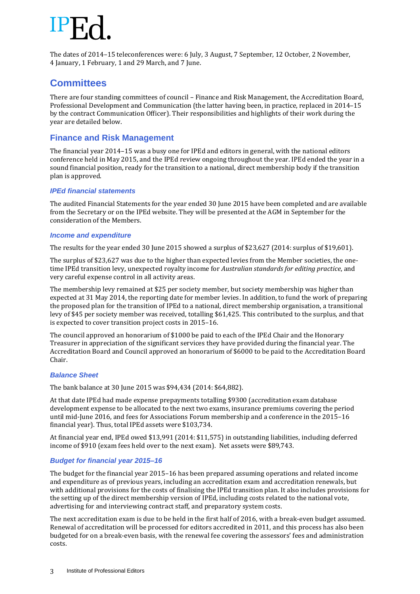The dates of 2014–15 teleconferences were: 6 July, 3 August, 7 September, 12 October, 2 November, 4 January, 1 February, 1 and 29 March, and 7 June.

### **Committees**

There are four standing committees of council – Finance and Risk Management, the Accreditation Board, Professional Development and Communication (the latter having been, in practice, replaced in 2014–15 by the contract Communication Officer). Their responsibilities and highlights of their work during the year are detailed below.

### **Finance and Risk Management**

The financial year 2014–15 was a busy one for IPEd and editors in general, with the national editors conference held in May 2015, and the IPEd review ongoing throughout the year. IPEd ended the year in a sound financial position, ready for the transition to a national, direct membership body if the transition plan is approved.

### *IPEd financial statements*

The audited Financial Statements for the year ended 30 June 2015 have been completed and are available from the Secretary or on the IPEd website. They will be presented at the AGM in September for the consideration of the Members.

### *Income and expenditure*

The results for the year ended 30 June 2015 showed a surplus of \$23,627 (2014: surplus of \$19,601).

The surplus of \$23,627 was due to the higher than expected levies from the Member societies, the onetime IPEd transition levy, unexpected royalty income for *Australian standards for editing practice*, and very careful expense control in all activity areas.

The membership levy remained at \$25 per society member, but society membership was higher than expected at 31 May 2014, the reporting date for member levies. In addition, to fund the work of preparing the proposed plan for the transition of IPEd to a national, direct membership organisation, a transitional levy of \$45 per society member was received, totalling \$61,425. This contributed to the surplus, and that is expected to cover transition project costs in 2015–16.

The council approved an honorarium of \$1000 be paid to each of the IPEd Chair and the Honorary Treasurer in appreciation of the significant services they have provided during the financial year. The Accreditation Board and Council approved an honorarium of \$6000 to be paid to the Accreditation Board Chair.

#### *Balance Sheet*

The bank balance at 30 June 2015 was \$94,434 (2014: \$64,882).

At that date IPEd had made expense prepayments totalling \$9300 (accreditation exam database development expense to be allocated to the next two exams, insurance premiums covering the period until mid-June 2016, and fees for Associations Forum membership and a conference in the 2015–16 financial year). Thus, total IPEd assets were \$103,734.

At financial year end, IPEd owed \$13,991 (2014: \$11,575) in outstanding liabilities, including deferred income of \$910 (exam fees held over to the next exam). Net assets were \$89,743.

### *Budget for financial year 2015–16*

The budget for the financial year 2015–16 has been prepared assuming operations and related income and expenditure as of previous years, including an accreditation exam and accreditation renewals, but with additional provisions for the costs of finalising the IPEd transition plan. It also includes provisions for the setting up of the direct membership version of IPEd, including costs related to the national vote, advertising for and interviewing contract staff, and preparatory system costs.

The next accreditation exam is due to be held in the first half of 2016, with a break-even budget assumed. Renewal of accreditation will be processed for editors accredited in 2011, and this process has also been budgeted for on a break-even basis, with the renewal fee covering the assessors' fees and administration costs.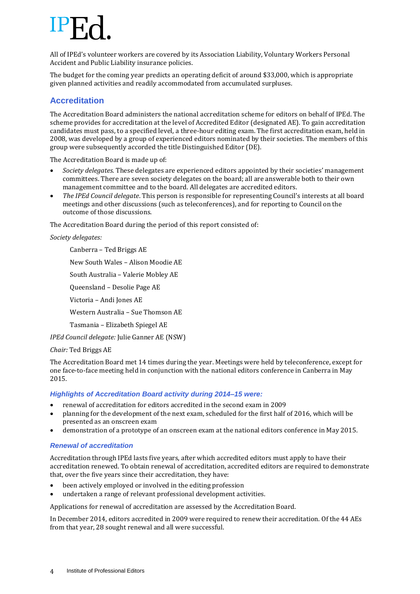All of IPEd's volunteer workers are covered by its Association Liability, Voluntary Workers Personal Accident and Public Liability insurance policies.

The budget for the coming year predicts an operating deficit of around \$33,000, which is appropriate given planned activities and readily accommodated from accumulated surpluses.

### **Accreditation**

The Accreditation Board administers the national accreditation scheme for editors on behalf of IPEd. The scheme provides for accreditation at the level of Accredited Editor (designated AE). To gain accreditation candidates must pass, to a specified level, a three-hour editing exam. The first accreditation exam, held in 2008, was developed by a group of experienced editors nominated by their societies. The members of this group were subsequently accorded the title Distinguished Editor (DE).

The Accreditation Board is made up of:

- *Society delegates*. These delegates are experienced editors appointed by their societies' management committees. There are seven society delegates on the board; all are answerable both to their own management committee and to the board. All delegates are accredited editors.
- *The IPEd Council delegate*. This person is responsible for representing Council's interests at all board meetings and other discussions (such as teleconferences), and for reporting to Council on the outcome of those discussions.

The Accreditation Board during the period of this report consisted of:

#### *Society delegates:*

Canberra – Ted Briggs AE New South Wales – Alison Moodie AE South Australia – Valerie Mobley AE Queensland – Desolie Page AE Victoria – Andi Jones AE Western Australia – Sue Thomson AE Tasmania – Elizabeth Spiegel AE *IPEd Council delegate:* Julie Ganner AE (NSW)

#### *Chair:* Ted Briggs AE

The Accreditation Board met 14 times during the year. Meetings were held by teleconference, except for one face-to-face meeting held in conjunction with the national editors conference in Canberra in May 2015.

#### *Highlights of Accreditation Board activity during 2014–15 were:*

- renewal of accreditation for editors accredited in the second exam in 2009
- planning for the development of the next exam, scheduled for the first half of 2016, which will be presented as an onscreen exam
- demonstration of a prototype of an onscreen exam at the national editors conference in May 2015.

#### *Renewal of accreditation*

Accreditation through IPEd lasts five years, after which accredited editors must apply to have their accreditation renewed. To obtain renewal of accreditation, accredited editors are required to demonstrate that, over the five years since their accreditation, they have:

- been actively employed or involved in the editing profession
- undertaken a range of relevant professional development activities.

Applications for renewal of accreditation are assessed by the Accreditation Board.

In December 2014, editors accredited in 2009 were required to renew their accreditation. Of the 44 AEs from that year, 28 sought renewal and all were successful.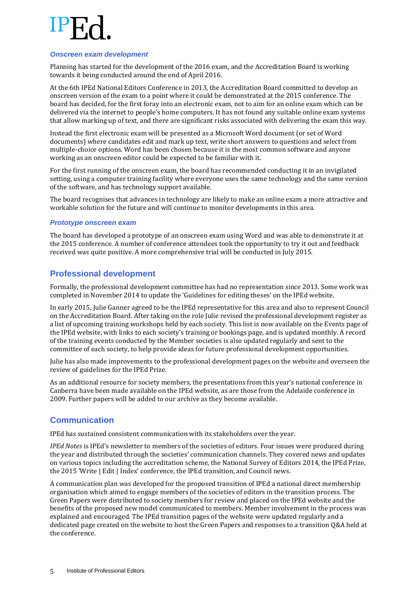#### *Onscreen exam development*

Planning has started for the development of the 2016 exam, and the Accreditation Board is working towards it being conducted around the end of April 2016.

At the 6th IPEd National Editors Conference in 2013, the Accreditation Board committed to develop an onscreen version of the exam to a point where it could be demonstrated at the 2015 conference. The board has decided, for the first foray into an electronic exam, not to aim for an online exam which can be delivered via the internet to people's home computers. It has not found any suitable online exam systems that allow marking up of text, and there are significant risks associated with delivering the exam this way.

Instead the first electronic exam will be presented as a Microsoft Word document (or set of Word documents) where candidates edit and mark up text, write short answers to questions and select from multiple-choice options. Word has been chosen because it is the most common software and anyone working as an onscreen editor could be expected to be familiar with it.

For the first running of the onscreen exam, the board has recommended conducting it in an invigilated setting, using a computer training facility where everyone uses the same technology and the same version of the software, and has technology support available.

The board recognises that advances in technology are likely to make an online exam a more attractive and workable solution for the future and will continue to monitor developments in this area.

#### *Prototype onscreen exam*

The board has developed a prototype of an onscreen exam using Word and was able to demonstrate it at the 2015 conference. A number of conference attendees took the opportunity to try it out and feedback received was quite positive. A more comprehensive trial will be conducted in July 2015.

### **Professional development**

Formally, the professional development committee has had no representation since 2013. Some work was completed in November 2014 to update the 'Guidelines for editing theses' on the IPEd website.

In early 2015, Julie Ganner agreed to be the IPEd representative for this area and also to represent Council on the Accreditation Board. After taking on the role Julie revised the professional development register as a list of upcoming training workshops held by each society. This list is now available on the Events page of the IPEd website, with links to each society's training or bookings page, and is updated monthly. A record of the training events conducted by the Member societies is also updated regularly and sent to the committee of each society, to help provide ideas for future professional development opportunities.

Julie has also made improvements to the professional development pages on the website and overseen the review of guidelines for the IPEd Prize.

As an additional resource for society members, the presentations from this year's national conference in Canberra have been made available on the IPEd website, as are those from the Adelaide conference in 2009. Further papers will be added to our archive as they become available.

### **Communication**

IPEd has sustained consistent communication with its stakeholders over the year.

*IPEd Notes* is IPEd's newsletter to members of the societies of editors. Four issues were produced during the year and distributed through the societies' communication channels. They covered news and updates on various topics including the accreditation scheme, the National Survey of Editors 2014, the IPEd Prize, the 2015 'Write | Edit | Index' conference, the IPEd transition, and Council news.

A communication plan was developed for the proposed transition of IPEd a national direct membership organisation which aimed to engage members of the societies of editors in the transition process. The Green Papers were distributed to society members for review and placed on the IPEd website and the benefits of the proposed new model communicated to members. Member involvement in the process was explained and encouraged. The IPEd transition pages of the website were updated regularly and a dedicated page created on the website to host the Green Papers and responses to a transition Q&A held at the conference.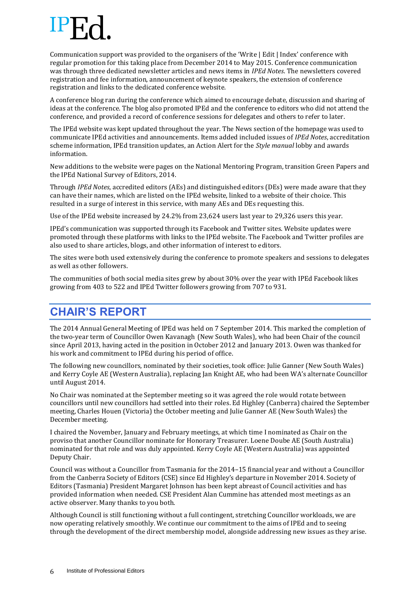Communication support was provided to the organisers of the 'Write | Edit | Index' conference with regular promotion for this taking place from December 2014 to May 2015. Conference communication was through three dedicated newsletter articles and news items in *IPEd Notes*. The newsletters covered registration and fee information, announcement of keynote speakers, the extension of conference registration and links to the dedicated conference website.

A conference blog ran during the conference which aimed to encourage debate, discussion and sharing of ideas at the conference. The blog also promoted IPEd and the conference to editors who did not attend the conference, and provided a record of conference sessions for delegates and others to refer to later.

The IPEd website was kept updated throughout the year. The News section of the homepage was used to communicate IPEd activities and announcements. Items added included issues of *IPEd Notes*, accreditation scheme information, IPEd transition updates, an Action Alert for the *Style manual* lobby and awards information.

New additions to the website were pages on the National Mentoring Program, transition Green Papers and the IPEd National Survey of Editors, 2014.

Through *IPEd Notes*, accredited editors (AEs) and distinguished editors (DEs) were made aware that they can have their names, which are listed on the IPEd website, linked to a website of their choice. This resulted in a surge of interest in this service, with many AEs and DEs requesting this.

Use of the IPEd website increased by 24.2% from 23,624 users last year to 29,326 users this year.

IPEd's communication was supported through its Facebook and Twitter sites. Website updates were promoted through these platforms with links to the IPEd website. The Facebook and Twitter profiles are also used to share articles, blogs, and other information of interest to editors.

The sites were both used extensively during the conference to promote speakers and sessions to delegates as well as other followers.

The communities of both social media sites grew by about 30% over the year with IPEd Facebook likes growing from 403 to 522 and IPEd Twitter followers growing from 707 to 931.

## **CHAIR'S REPORT**

The 2014 Annual General Meeting of IPEd was held on 7 September 2014. This marked the completion of the two-year term of Councillor Owen Kavanagh (New South Wales), who had been Chair of the council since April 2013, having acted in the position in October 2012 and January 2013. Owen was thanked for his work and commitment to IPEd during his period of office.

The following new councillors, nominated by their societies, took office: Julie Ganner (New South Wales) and Kerry Coyle AE (Western Australia), replacing Jan Knight AE, who had been WA's alternate Councillor until August 2014.

No Chair was nominated at the September meeting so it was agreed the role would rotate between councillors until new councillors had settled into their roles. Ed Highley (Canberra) chaired the September meeting, Charles Houen (Victoria) the October meeting and Julie Ganner AE (New South Wales) the December meeting.

I chaired the November, January and February meetings, at which time I nominated as Chair on the proviso that another Councillor nominate for Honorary Treasurer. Loene Doube AE (South Australia) nominated for that role and was duly appointed. Kerry Coyle AE (Western Australia) was appointed Deputy Chair.

Council was without a Councillor from Tasmania for the 2014–15 financial year and without a Councillor from the Canberra Society of Editors (CSE) since Ed Highley's departure in November 2014. Society of Editors (Tasmania) President Margaret Johnson has been kept abreast of Council activities and has provided information when needed. CSE President Alan Cummine has attended most meetings as an active observer. Many thanks to you both.

Although Council is still functioning without a full contingent, stretching Councillor workloads, we are now operating relatively smoothly. We continue our commitment to the aims of IPEd and to seeing through the development of the direct membership model, alongside addressing new issues as they arise.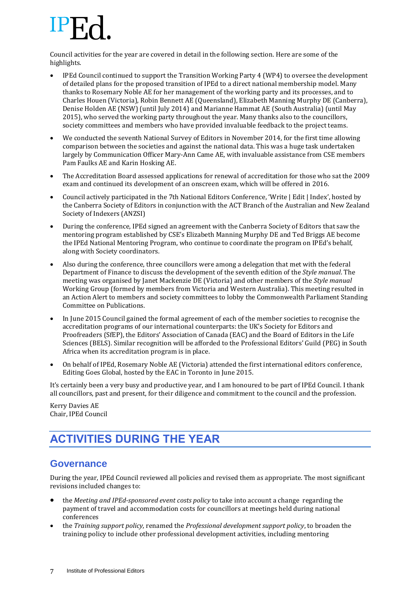Council activities for the year are covered in detail in the following section. Here are some of the highlights.

- IPEd Council continued to support the Transition Working Party 4 (WP4) to oversee the development of detailed plans for the proposed transition of IPEd to a direct national membership model. Many thanks to Rosemary Noble AE for her management of the working party and its processes, and to Charles Houen (Victoria), Robin Bennett AE (Queensland), Elizabeth Manning Murphy DE (Canberra), Denise Holden AE (NSW) (until July 2014) and Marianne Hammat AE (South Australia) (until May 2015), who served the working party throughout the year. Many thanks also to the councillors, society committees and members who have provided invaluable feedback to the project teams.
- We conducted the seventh National Survey of Editors in November 2014, for the first time allowing comparison between the societies and against the national data. This was a huge task undertaken largely by Communication Officer Mary-Ann Came AE, with invaluable assistance from CSE members Pam Faulks AE and Karin Hosking AE.
- The Accreditation Board assessed applications for renewal of accreditation for those who sat the 2009 exam and continued its development of an onscreen exam, which will be offered in 2016.
- Council actively participated in the 7th National Editors Conference, 'Write | Edit | Index', hosted by the Canberra Society of Editors in conjunction with the ACT Branch of the Australian and New Zealand Society of Indexers (ANZSI)
- During the conference, IPEd signed an agreement with the Canberra Society of Editors that saw the mentoring program established by CSE's Elizabeth Manning Murphy DE and Ted Briggs AE become the IPEd National Mentoring Program, who continue to coordinate the program on IPEd's behalf, along with Society coordinators.
- Also during the conference, three councillors were among a delegation that met with the federal Department of Finance to discuss the development of the seventh edition of the *Style manual*. The meeting was organised by Janet Mackenzie DE (Victoria) and other members of the *Style manual* Working Group (formed by members from Victoria and Western Australia). This meeting resulted in an Action Alert to members and society committees to lobby the Commonwealth Parliament Standing Committee on Publications.
- In June 2015 Council gained the formal agreement of each of the member societies to recognise the accreditation programs of our international counterparts: the UK's Society for Editors and Proofreaders (SfEP), the Editors' Association of Canada (EAC) and the Board of Editors in the Life Sciences (BELS). Similar recognition will be afforded to the Professional Editors' Guild (PEG) in South Africa when its accreditation program is in place.
- On behalf of IPEd, Rosemary Noble AE (Victoria) attended the first international editors conference, Editing Goes Global, hosted by the EAC in Toronto in June 2015.

It's certainly been a very busy and productive year, and I am honoured to be part of IPEd Council. I thank all councillors, past and present, for their diligence and commitment to the council and the profession.

Kerry Davies AE Chair, IPEd Council

## **ACTIVITIES DURING THE YEAR**

### **Governance**

During the year, IPEd Council reviewed all policies and revised them as appropriate. The most significant revisions included changes to:

- the *Meeting and IPEd-sponsored event costs policy* to take into account a change regarding the payment of travel and accommodation costs for councillors at meetings held during national conferences
- the *Training support policy*, renamed the *Professional development support policy*, to broaden the training policy to include other professional development activities, including mentoring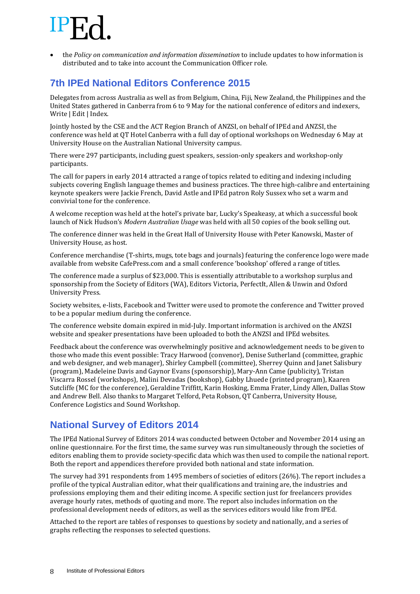the *Policy on communication and information dissemination* to include updates to how information is distributed and to take into account the Communication Officer role.

## **7th IPEd National Editors Conference 2015**

Delegates from across Australia as well as from Belgium, China, Fiji, New Zealand, the Philippines and the United States gathered in Canberra from 6 to 9 May for the national conference of editors and indexers, Write | Edit | Index.

Jointly hosted by the CSE and the ACT Region Branch of ANZSI, on behalf of IPEd and ANZSI, the conference was held at QT Hotel Canberra with a full day of optional workshops on Wednesday 6 May at University House on the Australian National University campus.

There were 297 participants, including guest speakers, session-only speakers and workshop-only participants.

The call for papers in early 2014 attracted a range of topics related to editing and indexing including subjects covering English language themes and business practices. The three high-calibre and entertaining keynote speakers were Jackie French, David Astle and IPEd patron Roly Sussex who set a warm and convivial tone for the conference.

A welcome reception was held at the hotel's private bar, Lucky's Speakeasy, at which a successful book launch of Nick Hudson's *Modern Australian Usage* was held with all 50 copies of the book selling out.

The conference dinner was held in the Great Hall of University House with Peter Kanowski, Master of University House, as host.

Conference merchandise (T-shirts, mugs, tote bags and journals) featuring the conference logo were made available from website CafePress.com and a small conference 'bookshop' offered a range of titles.

The conference made a surplus of \$23,000. This is essentially attributable to a workshop surplus and sponsorship from the Society of Editors (WA), Editors Victoria, PerfectIt, Allen & Unwin and Oxford University Press.

Society websites, e-lists, Facebook and Twitter were used to promote the conference and Twitter proved to be a popular medium during the conference.

The conference website domain expired in mid-July. Important information is archived on the ANZSI website and speaker presentations have been uploaded to both the ANZSI and IPEd websites.

Feedback about the conference was overwhelmingly positive and acknowledgement needs to be given to those who made this event possible: Tracy Harwood (convenor), Denise Sutherland (committee, graphic and web designer, and web manager), Shirley Campbell (committee), Sherrey Quinn and Janet Salisbury (program), Madeleine Davis and Gaynor Evans (sponsorship), Mary-Ann Came (publicity), Tristan Viscarra Rossel (workshops), Malini Devadas (bookshop), Gabby Lhuede (printed program), Kaaren Sutcliffe (MC for the conference), Geraldine Triffitt, Karin Hosking, Emma Frater, Lindy Allen, Dallas Stow and Andrew Bell. Also thanks to Margaret Telford, Peta Robson, QT Canberra, University House, Conference Logistics and Sound Workshop.

## **National Survey of Editors 2014**

The IPEd National Survey of Editors 2014 was conducted between October and November 2014 using an online questionnaire. For the first time, the same survey was run simultaneously through the societies of editors enabling them to provide society-specific data which was then used to compile the national report. Both the report and appendices therefore provided both national and state information.

The survey had 391 respondents from 1495 members of societies of editors (26%). The report includes a profile of the typical Australian editor, what their qualifications and training are, the industries and professions employing them and their editing income. A specific section just for freelancers provides average hourly rates, methods of quoting and more. The report also includes information on the professional development needs of editors, as well as the services editors would like from IPEd.

Attached to the report are tables of responses to questions by society and nationally, and a series of graphs reflecting the responses to selected questions.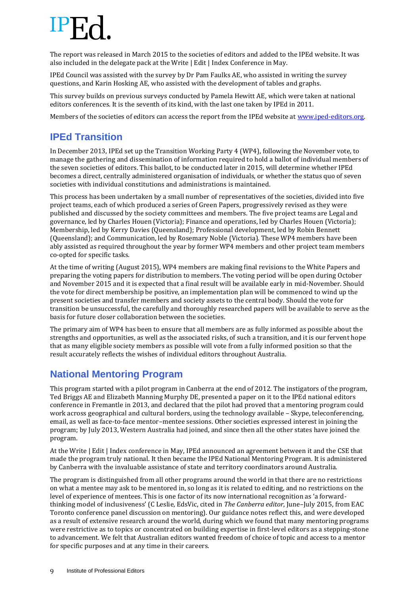The report was released in March 2015 to the societies of editors and added to the IPEd website. It was also included in the delegate pack at the Write | Edit | Index Conference in May.

IPEd Council was assisted with the survey by Dr Pam Faulks AE, who assisted in writing the survey questions, and Karin Hosking AE, who assisted with the development of tables and graphs.

This survey builds on previous surveys conducted by Pamela Hewitt AE, which were taken at national editors conferences. It is the seventh of its kind, with the last one taken by IPEd in 2011.

Members of the societies of editors can access the report from the IPEd website a[t www.iped-editors.org.](http://www.iped-editors.org/)

## **IPEd Transition**

In December 2013, IPEd set up the Transition Working Party 4 (WP4), following the November vote, to manage the gathering and dissemination of information required to hold a ballot of individual members of the seven societies of editors. This ballot, to be conducted later in 2015, will determine whether IPEd becomes a direct, centrally administered organisation of individuals, or whether the status quo of seven societies with individual constitutions and administrations is maintained.

This process has been undertaken by a small number of representatives of the societies, divided into five project teams, each of which produced a series of Green Papers, progressively revised as they were published and discussed by the society committees and members. The five project teams are Legal and governance, led by Charles Houen (Victoria); Finance and operations, led by Charles Houen (Victoria); Membership, led by Kerry Davies (Queensland); Professional development, led by Robin Bennett (Queensland); and Communication, led by Rosemary Noble (Victoria). These WP4 members have been ably assisted as required throughout the year by former WP4 members and other project team members co-opted for specific tasks.

At the time of writing (August 2015), WP4 members are making final revisions to the White Papers and preparing the voting papers for distribution to members. The voting period will be open during October and November 2015 and it is expected that a final result will be available early in mid-November. Should the vote for direct membership be positive, an implementation plan will be commenced to wind up the present societies and transfer members and society assets to the central body. Should the vote for transition be unsuccessful, the carefully and thoroughly researched papers will be available to serve as the basis for future closer collaboration between the societies.

The primary aim of WP4 has been to ensure that all members are as fully informed as possible about the strengths and opportunities, as well as the associated risks, of such a transition, and it is our fervent hope that as many eligible society members as possible will vote from a fully informed position so that the result accurately reflects the wishes of individual editors throughout Australia.

## **National Mentoring Program**

This program started with a pilot program in Canberra at the end of 2012. The instigators of the program, Ted Briggs AE and Elizabeth Manning Murphy DE, presented a paper on it to the IPEd national editors conference in Fremantle in 2013, and declared that the pilot had proved that a mentoring program could work across geographical and cultural borders, using the technology available – Skype, teleconferencing, email, as well as face-to-face mentor–mentee sessions. Other societies expressed interest in joining the program; by July 2013, Western Australia had joined, and since then all the other states have joined the program.

At the Write | Edit | Index conference in May, IPEd announced an agreement between it and the CSE that made the program truly national. It then became the IPEd National Mentoring Program. It is administered by Canberra with the invaluable assistance of state and territory coordinators around Australia.

The program is distinguished from all other programs around the world in that there are no restrictions on what a mentee may ask to be mentored in, so long as it is related to editing, and no restrictions on the level of experience of mentees. This is one factor of its now international recognition as 'a forwardthinking model of inclusiveness' (C Leslie, EdsVic, cited in *The Canberra editor*, June–July 2015, from EAC Toronto conference panel discussion on mentoring). Our guidance notes reflect this, and were developed as a result of extensive research around the world, during which we found that many mentoring programs were restrictive as to topics or concentrated on building expertise in first-level editors as a stepping-stone to advancement. We felt that Australian editors wanted freedom of choice of topic and access to a mentor for specific purposes and at any time in their careers.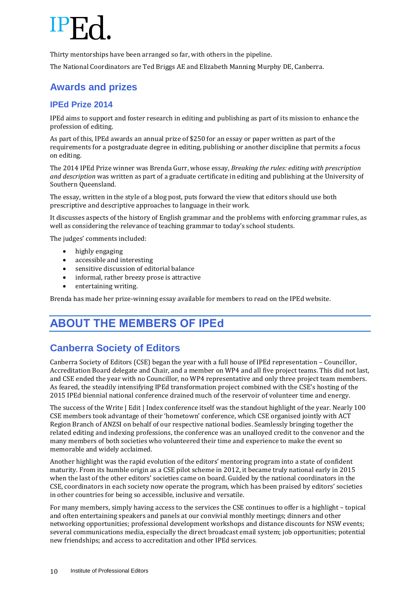Thirty mentorships have been arranged so far, with others in the pipeline.

The National Coordinators are Ted Briggs AE and Elizabeth Manning Murphy DE, Canberra.

## **Awards and prizes**

### **IPEd Prize 2014**

IPEd aims to support and foster research in editing and publishing as part of its mission to enhance the profession of editing.

As part of this, IPEd awards an annual prize of \$250 for an essay or paper written as part of the requirements for a postgraduate degree in editing, publishing or another discipline that permits a focus on editing.

The 2014 IPEd Prize winner was Brenda Gurr, whose essay, *Breaking the rules: editing with prescription and description* was written as part of a graduate certificate in editing and publishing at the University of Southern Queensland.

The essay, written in the style of a blog post, puts forward the view that editors should use both prescriptive and descriptive approaches to language in their work.

It discusses aspects of the history of English grammar and the problems with enforcing grammar rules, as well as considering the relevance of teaching grammar to today's school students.

The judges' comments included:

- highly engaging
- accessible and interesting
- sensitive discussion of editorial balance
- informal, rather breezy prose is attractive
- entertaining writing.

Brenda has made her prize-winning essay available for members to read on the IPEd website.

## **ABOUT THE MEMBERS OF IPEd**

## **Canberra Society of Editors**

Canberra Society of Editors (CSE) began the year with a full house of IPEd representation – Councillor, Accreditation Board delegate and Chair, and a member on WP4 and all five project teams. This did not last, and CSE ended the year with no Councillor, no WP4 representative and only three project team members. As feared, the steadily intensifying IPEd transformation project combined with the CSE's hosting of the 2015 IPEd biennial national conference drained much of the reservoir of volunteer time and energy.

The success of the Write | Edit | Index conference itself was the standout highlight of the year. Nearly 100 CSE members took advantage of their 'hometown' conference, which CSE organised jointly with ACT Region Branch of ANZSI on behalf of our respective national bodies. Seamlessly bringing together the related editing and indexing professions, the conference was an unalloyed credit to the convenor and the many members of both societies who volunteered their time and experience to make the event so memorable and widely acclaimed.

Another highlight was the rapid evolution of the editors' mentoring program into a state of confident maturity. From its humble origin as a CSE pilot scheme in 2012, it became truly national early in 2015 when the last of the other editors' societies came on board. Guided by the national coordinators in the CSE, coordinators in each society now operate the program, which has been praised by editors' societies in other countries for being so accessible, inclusive and versatile.

For many members, simply having access to the services the CSE continues to offer is a highlight – topical and often entertaining speakers and panels at our convivial monthly meetings; dinners and other networking opportunities; professional development workshops and distance discounts for NSW events; several communications media, especially the direct broadcast email system; job opportunities; potential new friendships; and access to accreditation and other IPEd services.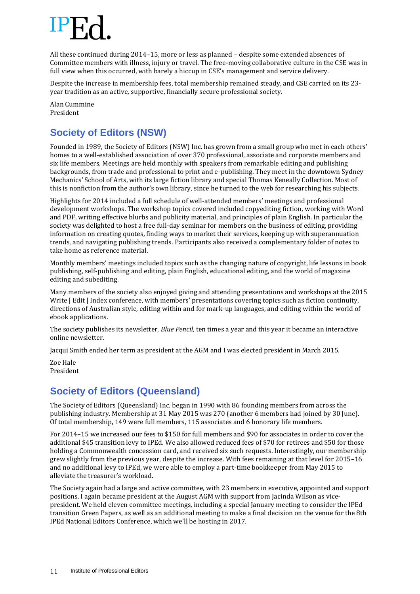

All these continued during 2014–15, more or less as planned – despite some extended absences of Committee members with illness, injury or travel. The free-moving collaborative culture in the CSE was in full view when this occurred, with barely a hiccup in CSE's management and service delivery.

Despite the increase in membership fees, total membership remained steady, and CSE carried on its 23 year tradition as an active, supportive, financially secure professional society.

Alan Cummine President

## **Society of Editors (NSW)**

Founded in 1989, the Society of Editors (NSW) Inc. has grown from a small group who met in each others' homes to a well-established association of over 370 professional, associate and corporate members and six life members. Meetings are held monthly with speakers from remarkable editing and publishing backgrounds, from trade and professional to print and e-publishing. They meet in the downtown Sydney Mechanics' School of Arts, with its large fiction library and special Thomas Keneally Collection. Most of this is nonfiction from the author's own library, since he turned to the web for researching his subjects.

Highlights for 2014 included a full schedule of well-attended members' meetings and professional development workshops. The workshop topics covered included copyediting fiction, working with Word and PDF, writing effective blurbs and publicity material, and principles of plain English. In particular the society was delighted to host a free full-day seminar for members on the business of editing, providing information on creating quotes, finding ways to market their services, keeping up with superannuation trends, and navigating publishing trends. Participants also received a complementary folder of notes to take home as reference material.

Monthly members' meetings included topics such as the changing nature of copyright, life lessons in book publishing, self-publishing and editing, plain English, educational editing, and the world of magazine editing and subediting.

Many members of the society also enjoyed giving and attending presentations and workshops at the 2015 Write | Edit | Index conference, with members' presentations covering topics such as fiction continuity, directions of Australian style, editing within and for mark-up languages, and editing within the world of ebook applications.

The society publishes its newsletter, *Blue Pencil*, ten times a year and this year it became an interactive online newsletter.

Jacqui Smith ended her term as president at the AGM and I was elected president in March 2015.

Zoe Hale President

## **Society of Editors (Queensland)**

The Society of Editors (Queensland) Inc. began in 1990 with 86 founding members from across the publishing industry. Membership at 31 May 2015 was 270 (another 6 members had joined by 30 June). Of total membership, 149 were full members, 115 associates and 6 honorary life members.

For 2014–15 we increased our fees to \$150 for full members and \$90 for associates in order to cover the additional \$45 transition levy to IPEd. We also allowed reduced fees of \$70 for retirees and \$50 for those holding a Commonwealth concession card, and received six such requests. Interestingly, our membership grew slightly from the previous year, despite the increase. With fees remaining at that level for 2015–16 and no additional levy to IPEd, we were able to employ a part-time bookkeeper from May 2015 to alleviate the treasurer's workload.

The Society again had a large and active committee, with 23 members in executive, appointed and support positions. I again became president at the August AGM with support from Jacinda Wilson as vicepresident. We held eleven committee meetings, including a special January meeting to consider the IPEd transition Green Papers, as well as an additional meeting to make a final decision on the venue for the 8th IPEd National Editors Conference, which we'll be hosting in 2017.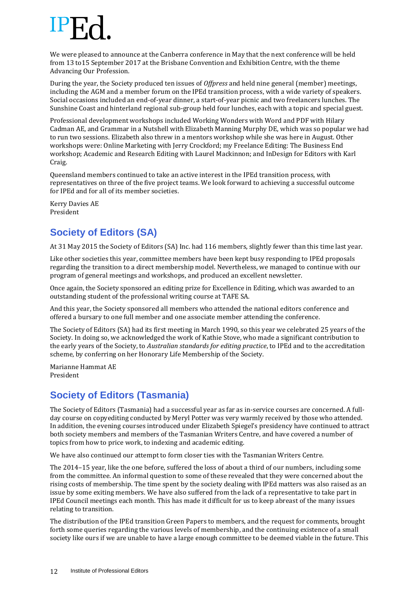We were pleased to announce at the Canberra conference in May that the next conference will be held from 13 to15 September 2017 at the Brisbane Convention and Exhibition Centre, with the theme Advancing Our Profession.

During the year, the Society produced ten issues of *Offpress* and held nine general (member) meetings, including the AGM and a member forum on the IPEd transition process, with a wide variety of speakers. Social occasions included an end-of-year dinner, a start-of-year picnic and two freelancers lunches. The Sunshine Coast and hinterland regional sub-group held four lunches, each with a topic and special guest.

Professional development workshops included Working Wonders with Word and PDF with Hilary Cadman AE, and Grammar in a Nutshell with Elizabeth Manning Murphy DE, which was so popular we had to run two sessions. Elizabeth also threw in a mentors workshop while she was here in August. Other workshops were: Online Marketing with Jerry Crockford; my Freelance Editing: The Business End workshop; Academic and Research Editing with Laurel Mackinnon; and InDesign for Editors with Karl Craig.

Queensland members continued to take an active interest in the IPEd transition process, with representatives on three of the five project teams. We look forward to achieving a successful outcome for IPEd and for all of its member societies.

Kerry Davies AE President

## **Society of Editors (SA)**

At 31 May 2015 the Society of Editors (SA) Inc. had 116 members, slightly fewer than this time last year.

Like other societies this year, committee members have been kept busy responding to IPEd proposals regarding the transition to a direct membership model. Nevertheless, we managed to continue with our program of general meetings and workshops, and produced an excellent newsletter.

Once again, the Society sponsored an editing prize for Excellence in Editing, which was awarded to an outstanding student of the professional writing course at TAFE SA.

And this year, the Society sponsored all members who attended the national editors conference and offered a bursary to one full member and one associate member attending the conference.

The Society of Editors (SA) had its first meeting in March 1990, so this year we celebrated 25 years of the Society. In doing so, we acknowledged the work of Kathie Stove, who made a significant contribution to the early years of the Society, to *Australian standards for editing practice*, to IPEd and to the accreditation scheme, by conferring on her Honorary Life Membership of the Society.

Marianne Hammat AE President

## **Society of Editors (Tasmania)**

The Society of Editors (Tasmania) had a successful year as far as in-service courses are concerned. A fullday course on copyediting conducted by Meryl Potter was very warmly received by those who attended. In addition, the evening courses introduced under Elizabeth Spiegel's presidency have continued to attract both society members and members of the Tasmanian Writers Centre, and have covered a number of topics from how to price work, to indexing and academic editing.

We have also continued our attempt to form closer ties with the Tasmanian Writers Centre.

The 2014–15 year, like the one before, suffered the loss of about a third of our numbers, including some from the committee. An informal question to some of these revealed that they were concerned about the rising costs of membership. The time spent by the society dealing with IPEd matters was also raised as an issue by some exiting members. We have also suffered from the lack of a representative to take part in IPEd Council meetings each month. This has made it difficult for us to keep abreast of the many issues relating to transition.

The distribution of the IPEd transition Green Papers to members, and the request for comments, brought forth some queries regarding the various levels of membership, and the continuing existence of a small society like ours if we are unable to have a large enough committee to be deemed viable in the future. This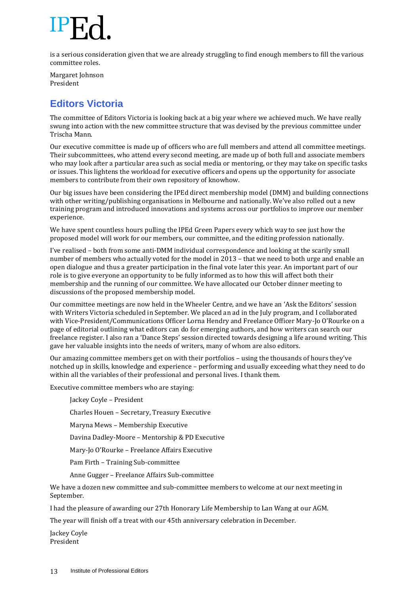is a serious consideration given that we are already struggling to find enough members to fill the various committee roles.

Margaret Johnson President

## **Editors Victoria**

The committee of Editors Victoria is looking back at a big year where we achieved much. We have really swung into action with the new committee structure that was devised by the previous committee under Trischa Mann.

Our executive committee is made up of officers who are full members and attend all committee meetings. Their subcommittees, who attend every second meeting, are made up of both full and associate members who may look after a particular area such as social media or mentoring, or they may take on specific tasks or issues. This lightens the workload for executive officers and opens up the opportunity for associate members to contribute from their own repository of knowhow.

Our big issues have been considering the IPEd direct membership model (DMM) and building connections with other writing/publishing organisations in Melbourne and nationally. We've also rolled out a new training program and introduced innovations and systems across our portfolios to improve our member experience.

We have spent countless hours pulling the IPEd Green Papers every which way to see just how the proposed model will work for our members, our committee, and the editing profession nationally.

I've realised – both from some anti-DMM individual correspondence and looking at the scarily small number of members who actually voted for the model in 2013 – that we need to both urge and enable an open dialogue and thus a greater participation in the final vote later this year. An important part of our role is to give everyone an opportunity to be fully informed as to how this will affect both their membership and the running of our committee. We have allocated our October dinner meeting to discussions of the proposed membership model.

Our committee meetings are now held in the Wheeler Centre, and we have an 'Ask the Editors' session with Writers Victoria scheduled in September. We placed an ad in the July program, and I collaborated with Vice-President/Communications Officer Lorna Hendry and Freelance Officer Mary-Jo O'Rourke on a page of editorial outlining what editors can do for emerging authors, and how writers can search our freelance register. I also ran a 'Dance Steps' session directed towards designing a life around writing. This gave her valuable insights into the needs of writers, many of whom are also editors.

Our amazing committee members get on with their portfolios – using the thousands of hours they've notched up in skills, knowledge and experience – performing and usually exceeding what they need to do within all the variables of their professional and personal lives. I thank them.

Executive committee members who are staying:

Jackey Coyle – President

Charles Houen – Secretary, Treasury Executive

Maryna Mews – Membership Executive

Davina Dadley-Moore – Mentorship & PD Executive

Mary-Jo O'Rourke – Freelance Affairs Executive

Pam Firth – Training Sub-committee

Anne Gugger – Freelance Affairs Sub-committee

We have a dozen new committee and sub-committee members to welcome at our next meeting in September.

I had the pleasure of awarding our 27th Honorary Life Membership to Lan Wang at our AGM.

The year will finish off a treat with our 45th anniversary celebration in December.

Jackey Coyle President